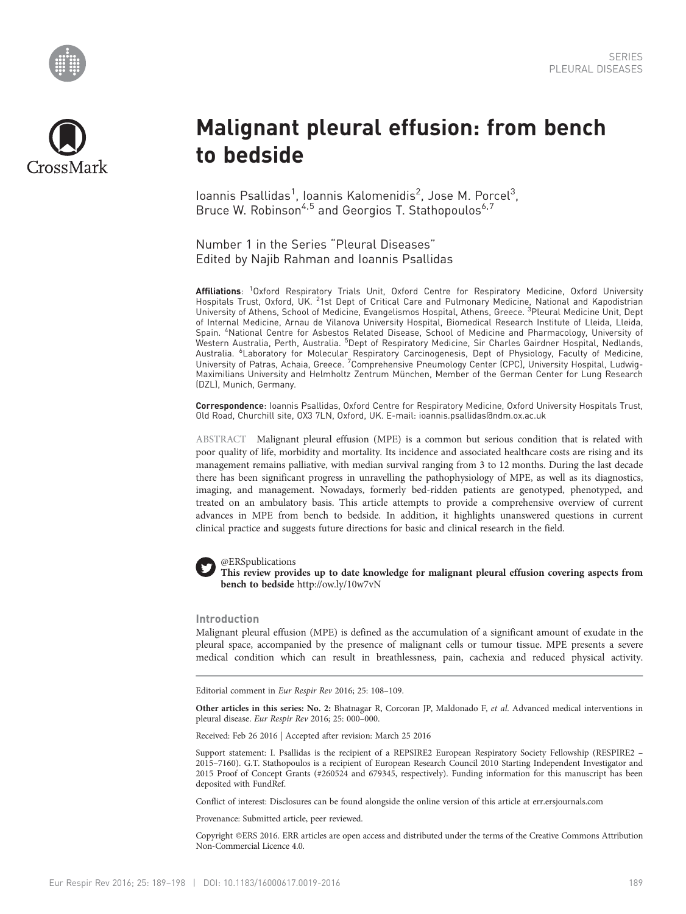



# Malignant pleural effusion: from bench to bedside

loannis Psallidas<sup>1</sup>, Ioannis Kalomenidis<sup>2</sup>, Jose M. Porcel<sup>3</sup>, Bruce W. Robinson<sup>4,5</sup> and Georgios T. Stathopoulos<sup>6,7</sup>

Number 1 in the Series "Pleural Diseases" Edited by Najib Rahman and Ioannis Psallidas

Affiliations: <sup>1</sup>Oxford Respiratory Trials Unit, Oxford Centre for Respiratory Medicine, Oxford University Hospitals Trust, Oxford, UK. <sup>2</sup>1st Dept of Critical Care and Pulmonary Medicine, National and Kapodistrian<br>University of Athens, School of Medicine, Evangelismos Hospital, Athens, Greece. <sup>3</sup>Pleural Medicine Unit, Dept of Internal Medicine, Arnau de Vilanova University Hospital, Biomedical Research Institute of Lleida, Lleida, Spain. <sup>4</sup> National Centre for Asbestos Related Disease, School of Medicine and Pharmacology, University of Western Australia, Perth, Australia. <sup>5</sup>Dept of Respiratory Medicine, Sir Charles Gairdner Hospital, Nedlands, Australia. <sup>6</sup>Laboratory for Molecular Respiratory Carcinogenesis, Dept of Physiology, Faculty of Medicine,<br>University of Patras, Achaia, Greece. <sup>7</sup>Comprehensive Pneumology Center (CPC), University Hospital, Ludwig-Maximilians University and Helmholtz Zentrum München, Member of the German Center for Lung Research (DZL), Munich, Germany.

Correspondence: Ioannis Psallidas, Oxford Centre for Respiratory Medicine, Oxford University Hospitals Trust, Old Road, Churchill site, OX3 7LN, Oxford, UK. E-mail: [ioannis.psallidas@ndm.ox.ac.uk](mailto:ioannis.psallidas@ndm.ox.ac.uk)

ABSTRACT Malignant pleural effusion (MPE) is a common but serious condition that is related with poor quality of life, morbidity and mortality. Its incidence and associated healthcare costs are rising and its management remains palliative, with median survival ranging from 3 to 12 months. During the last decade there has been significant progress in unravelling the pathophysiology of MPE, as well as its diagnostics, imaging, and management. Nowadays, formerly bed-ridden patients are genotyped, phenotyped, and treated on an ambulatory basis. This article attempts to provide a comprehensive overview of current advances in MPE from bench to bedside. In addition, it highlights unanswered questions in current clinical practice and suggests future directions for basic and clinical research in the field.



This review provides up to date knowledge for malignant pleural effusion covering aspects from bench to bedside <http://ow.ly/10w7vN>

# Introduction

Malignant pleural effusion (MPE) is defined as the accumulation of a significant amount of exudate in the pleural space, accompanied by the presence of malignant cells or tumour tissue. MPE presents a severe medical condition which can result in breathlessness, pain, cachexia and reduced physical activity.

Editorial comment in Eur Respir Rev 2016; 25: 108–109.

Other articles in this series: No. 2: Bhatnagar R, Corcoran JP, Maldonado F, et al. Advanced medical interventions in pleural disease. Eur Respir Rev 2016; 25: 000–000.

Received: Feb 26 2016 | Accepted after revision: March 25 2016

Support statement: I. Psallidas is the recipient of a REPSIRE2 European Respiratory Society Fellowship (RESPIRE2 – 2015–7160). G.T. Stathopoulos is a recipient of European Research Council 2010 Starting Independent Investigator and 2015 Proof of Concept Grants (#260524 and 679345, respectively). Funding information for this manuscript has been deposited with [FundRef.](http://www.crossref.org/fundref/)

Conflict of interest: Disclosures can be found alongside the online version of this article at<err.ersjournals.com>

Provenance: Submitted article, peer reviewed.

Copyright ©ERS 2016. ERR articles are open access and distributed under the terms of the Creative Commons Attribution Non-Commercial Licence 4.0.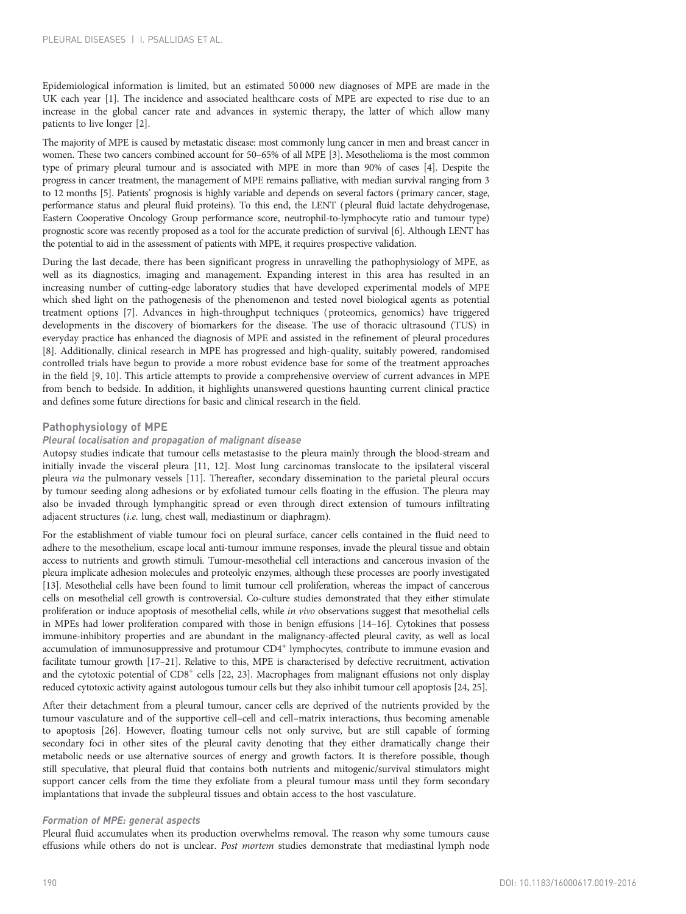Epidemiological information is limited, but an estimated 50 000 new diagnoses of MPE are made in the UK each year [\[1](#page-6-0)]. The incidence and associated healthcare costs of MPE are expected to rise due to an increase in the global cancer rate and advances in systemic therapy, the latter of which allow many patients to live longer [[2](#page-6-0)].

The majority of MPE is caused by metastatic disease: most commonly lung cancer in men and breast cancer in women. These two cancers combined account for 50–65% of all MPE [[3\]](#page-6-0). Mesothelioma is the most common type of primary pleural tumour and is associated with MPE in more than 90% of cases [\[4](#page-6-0)]. Despite the progress in cancer treatment, the management of MPE remains palliative, with median survival ranging from 3 to 12 months [[5\]](#page-6-0). Patients' prognosis is highly variable and depends on several factors (primary cancer, stage, performance status and pleural fluid proteins). To this end, the LENT (pleural fluid lactate dehydrogenase, Eastern Cooperative Oncology Group performance score, neutrophil-to-lymphocyte ratio and tumour type) prognostic score was recently proposed as a tool for the accurate prediction of survival [[6\]](#page-6-0). Although LENT has the potential to aid in the assessment of patients with MPE, it requires prospective validation.

During the last decade, there has been significant progress in unravelling the pathophysiology of MPE, as well as its diagnostics, imaging and management. Expanding interest in this area has resulted in an increasing number of cutting-edge laboratory studies that have developed experimental models of MPE which shed light on the pathogenesis of the phenomenon and tested novel biological agents as potential treatment options [\[7](#page-6-0)]. Advances in high-throughput techniques ( proteomics, genomics) have triggered developments in the discovery of biomarkers for the disease. The use of thoracic ultrasound (TUS) in everyday practice has enhanced the diagnosis of MPE and assisted in the refinement of pleural procedures [[8](#page-6-0)]. Additionally, clinical research in MPE has progressed and high-quality, suitably powered, randomised controlled trials have begun to provide a more robust evidence base for some of the treatment approaches in the field [[9, 10](#page-6-0)]. This article attempts to provide a comprehensive overview of current advances in MPE from bench to bedside. In addition, it highlights unanswered questions haunting current clinical practice and defines some future directions for basic and clinical research in the field.

# Pathophysiology of MPE

# Pleural localisation and propagation of malignant disease

Autopsy studies indicate that tumour cells metastasise to the pleura mainly through the blood-stream and initially invade the visceral pleura [\[11](#page-6-0), [12\]](#page-7-0). Most lung carcinomas translocate to the ipsilateral visceral pleura via the pulmonary vessels [[11](#page-6-0)]. Thereafter, secondary dissemination to the parietal pleural occurs by tumour seeding along adhesions or by exfoliated tumour cells floating in the effusion. The pleura may also be invaded through lymphangitic spread or even through direct extension of tumours infiltrating adjacent structures (i.e. lung, chest wall, mediastinum or diaphragm).

For the establishment of viable tumour foci on pleural surface, cancer cells contained in the fluid need to adhere to the mesothelium, escape local anti-tumour immune responses, invade the pleural tissue and obtain access to nutrients and growth stimuli. Tumour-mesothelial cell interactions and cancerous invasion of the pleura implicate adhesion molecules and proteolyic enzymes, although these processes are poorly investigated [[13](#page-7-0)]. Mesothelial cells have been found to limit tumour cell proliferation, whereas the impact of cancerous cells on mesothelial cell growth is controversial. Co-culture studies demonstrated that they either stimulate proliferation or induce apoptosis of mesothelial cells, while in vivo observations suggest that mesothelial cells in MPEs had lower proliferation compared with those in benign effusions [\[14](#page-7-0)–[16\]](#page-7-0). Cytokines that possess immune-inhibitory properties and are abundant in the malignancy-affected pleural cavity, as well as local accumulation of immunosuppressive and protumour CD4<sup>+</sup> lymphocytes, contribute to immune evasion and facilitate tumour growth [[17](#page-7-0)–[21\]](#page-7-0). Relative to this, MPE is characterised by defective recruitment, activation and the cytotoxic potential of CD8<sup>+</sup> cells [\[22, 23](#page-7-0)]. Macrophages from malignant effusions not only display reduced cytotoxic activity against autologous tumour cells but they also inhibit tumour cell apoptosis [\[24, 25](#page-7-0)].

After their detachment from a pleural tumour, cancer cells are deprived of the nutrients provided by the tumour vasculature and of the supportive cell–cell and cell–matrix interactions, thus becoming amenable to apoptosis [[26\]](#page-7-0). However, floating tumour cells not only survive, but are still capable of forming secondary foci in other sites of the pleural cavity denoting that they either dramatically change their metabolic needs or use alternative sources of energy and growth factors. It is therefore possible, though still speculative, that pleural fluid that contains both nutrients and mitogenic/survival stimulators might support cancer cells from the time they exfoliate from a pleural tumour mass until they form secondary implantations that invade the subpleural tissues and obtain access to the host vasculature.

# Formation of MPE: general aspects

Pleural fluid accumulates when its production overwhelms removal. The reason why some tumours cause effusions while others do not is unclear. Post mortem studies demonstrate that mediastinal lymph node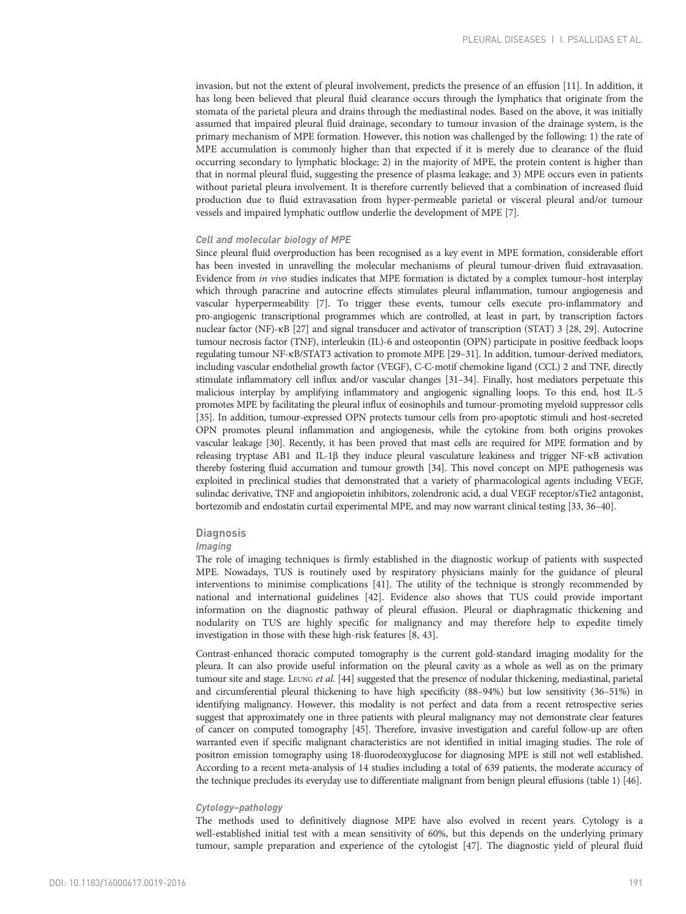invasion, but not the extent of pleural involvement, predicts the presence of an effusion [[11\]](#page-6-0). In addition, it has long been believed that pleural fluid clearance occurs through the lymphatics that originate from the stomata of the parietal pleura and drains through the mediastinal nodes. Based on the above, it was initially assumed that impaired pleural fluid drainage, secondary to tumour invasion of the drainage system, is the primary mechanism of MPE formation. However, this notion was challenged by the following: 1) the rate of MPE accumulation is commonly higher than that expected if it is merely due to clearance of the fluid occurring secondary to lymphatic blockage; 2) in the majority of MPE, the protein content is higher than that in normal pleural fluid, suggesting the presence of plasma leakage; and 3) MPE occurs even in patients without parietal pleura involvement. It is therefore currently believed that a combination of increased fluid production due to fluid extravasation from hyper-permeable parietal or visceral pleural and/or tumour vessels and impaired lymphatic outflow underlie the development of MPE [[7\]](#page-6-0).

# Cell and molecular biology of MPE

Since pleural fluid overproduction has been recognised as a key event in MPE formation, considerable effort has been invested in unravelling the molecular mechanisms of pleural tumour-driven fluid extravasation. Evidence from in vivo studies indicates that MPE formation is dictated by a complex tumour–host interplay which through paracrine and autocrine effects stimulates pleural inflammation, tumour angiogenesis and vascular hyperpermeability [[7\]](#page-6-0). To trigger these events, tumour cells execute pro-inflammatory and pro-angiogenic transcriptional programmes which are controlled, at least in part, by transcription factors nuclear factor (NF)-κB [\[27](#page-7-0)] and signal transducer and activator of transcription (STAT) 3 [\[28, 29\]](#page-7-0). Autocrine tumour necrosis factor (TNF), interleukin (IL)-6 and osteopontin (OPN) participate in positive feedback loops regulating tumour NF-κB/STAT3 activation to promote MPE [[29](#page-7-0)–[31\]](#page-7-0). In addition, tumour-derived mediators, including vascular endothelial growth factor (VEGF), C-C-motif chemokine ligand (CCL) 2 and TNF, directly stimulate inflammatory cell influx and/or vascular changes [[31](#page-7-0)–[34\]](#page-7-0). Finally, host mediators perpetuate this malicious interplay by amplifying inflammatory and angiogenic signalling loops. To this end, host IL-5 promotes MPE by facilitating the pleural influx of eosinophils and tumour-promoting myeloid suppressor cells [\[35](#page-7-0)]. In addition, tumour-expressed OPN protects tumour cells from pro-apoptotic stimuli and host-secreted OPN promotes pleural inflammation and angiogenesis, while the cytokine from both origins provokes vascular leakage [\[30](#page-7-0)]. Recently, it has been proved that mast cells are required for MPE formation and by releasing tryptase AB1 and IL-1β they induce pleural vasculature leakiness and trigger NF-κB activation thereby fostering fluid accumation and tumour growth [[34](#page-7-0)]. This novel concept on MPE pathogenesis was exploited in preclinical studies that demonstrated that a variety of pharmacological agents including VEGF, sulindac derivative, TNF and angiopoietin inhibitors, zolendronic acid, a dual VEGF receptor/sTie2 antagonist, bortezomib and endostatin curtail experimental MPE, and may now warrant clinical testing [\[33, 36](#page-7-0)–[40](#page-7-0)].

## **Diagnosis**

#### Imaging

The role of imaging techniques is firmly established in the diagnostic workup of patients with suspected MPE. Nowadays, TUS is routinely used by respiratory physicians mainly for the guidance of pleural interventions to minimise complications [[41](#page-7-0)]. The utility of the technique is strongly recommended by national and international guidelines [[42\]](#page-7-0). Evidence also shows that TUS could provide important information on the diagnostic pathway of pleural effusion. Pleural or diaphragmatic thickening and nodularity on TUS are highly specific for malignancy and may therefore help to expedite timely investigation in those with these high-risk features [[8](#page-6-0), [43](#page-7-0)].

Contrast-enhanced thoracic computed tomography is the current gold-standard imaging modality for the pleura. It can also provide useful information on the pleural cavity as a whole as well as on the primary tumour site and stage. LEUNG et al. [\[44\]](#page-7-0) suggested that the presence of nodular thickening, mediastinal, parietal and circumferential pleural thickening to have high specificity (88–94%) but low sensitivity (36–51%) in identifying malignancy. However, this modality is not perfect and data from a recent retrospective series suggest that approximately one in three patients with pleural malignancy may not demonstrate clear features of cancer on computed tomography [[45](#page-7-0)]. Therefore, invasive investigation and careful follow-up are often warranted even if specific malignant characteristics are not identified in initial imaging studies. The role of positron emission tomography using 18-fluorodeoxyglucose for diagnosing MPE is still not well established. According to a recent meta-analysis of 14 studies including a total of 639 patients, the moderate accuracy of the technique precludes its everyday use to differentiate malignant from benign pleural effusions [\(table 1\)](#page-3-0) [\[46](#page-7-0)].

#### Cytology–pathology

The methods used to definitively diagnose MPE have also evolved in recent years. Cytology is a well-established initial test with a mean sensitivity of 60%, but this depends on the underlying primary tumour, sample preparation and experience of the cytologist [\[47\]](#page-7-0). The diagnostic yield of pleural fluid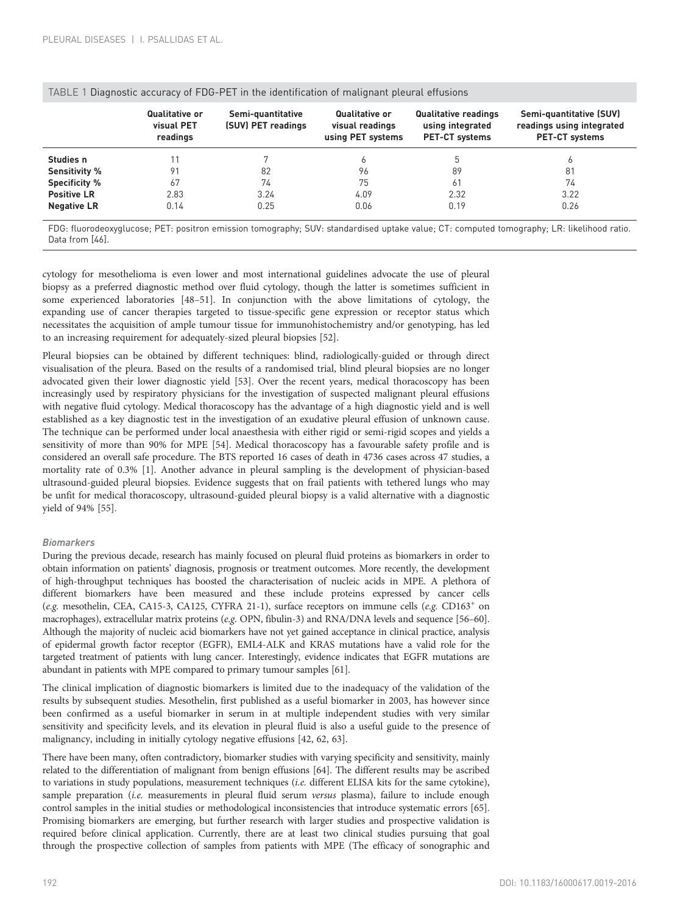|                      | Qualitative or<br>visual PET<br>readings | Semi-quantitative<br>(SUV) PET readings | Qualitative or<br>visual readings<br>using PET systems | Qualitative readings<br>using integrated<br><b>PET-CT systems</b> | Semi-quantitative (SUV)<br>readings using integrated<br><b>PET-CT systems</b> |
|----------------------|------------------------------------------|-----------------------------------------|--------------------------------------------------------|-------------------------------------------------------------------|-------------------------------------------------------------------------------|
| Studies n            | 11                                       |                                         | b                                                      | 5                                                                 | Ô                                                                             |
| <b>Sensitivity %</b> | 91                                       | 82                                      | 96                                                     | 89                                                                | 81                                                                            |
| <b>Specificity %</b> | 67                                       | 74                                      | 75                                                     | 61                                                                | 74                                                                            |
| <b>Positive LR</b>   | 2.83                                     | 3.24                                    | 4.09                                                   | 2.32                                                              | 3.22                                                                          |
| <b>Negative LR</b>   | 0.14                                     | 0.25                                    | 0.06                                                   | 0.19                                                              | 0.26                                                                          |

# <span id="page-3-0"></span>TABLE 1 Diagnostic accuracy of FDG-PET in the identification of malignant pleural effusions

FDG: fluorodeoxyglucose; PET: positron emission tomography; SUV: standardised uptake value; CT: computed tomography; LR: likelihood ratio. Data from [46].

cytology for mesothelioma is even lower and most international guidelines advocate the use of pleural biopsy as a preferred diagnostic method over fluid cytology, though the latter is sometimes sufficient in some experienced laboratories [\[48](#page-7-0)–[51](#page-8-0)]. In conjunction with the above limitations of cytology, the expanding use of cancer therapies targeted to tissue-specific gene expression or receptor status which necessitates the acquisition of ample tumour tissue for immunohistochemistry and/or genotyping, has led to an increasing requirement for adequately-sized pleural biopsies [[52](#page-8-0)].

Pleural biopsies can be obtained by different techniques: blind, radiologically-guided or through direct visualisation of the pleura. Based on the results of a randomised trial, blind pleural biopsies are no longer advocated given their lower diagnostic yield [[53](#page-8-0)]. Over the recent years, medical thoracoscopy has been increasingly used by respiratory physicians for the investigation of suspected malignant pleural effusions with negative fluid cytology. Medical thoracoscopy has the advantage of a high diagnostic yield and is well established as a key diagnostic test in the investigation of an exudative pleural effusion of unknown cause. The technique can be performed under local anaesthesia with either rigid or semi-rigid scopes and yields a sensitivity of more than 90% for MPE [\[54\]](#page-8-0). Medical thoracoscopy has a favourable safety profile and is considered an overall safe procedure. The BTS reported 16 cases of death in 4736 cases across 47 studies, a mortality rate of 0.3% [\[1\]](#page-6-0). Another advance in pleural sampling is the development of physician-based ultrasound-guided pleural biopsies. Evidence suggests that on frail patients with tethered lungs who may be unfit for medical thoracoscopy, ultrasound-guided pleural biopsy is a valid alternative with a diagnostic yield of 94% [[55](#page-8-0)].

#### Biomarkers

During the previous decade, research has mainly focused on pleural fluid proteins as biomarkers in order to obtain information on patients' diagnosis, prognosis or treatment outcomes. More recently, the development of high-throughput techniques has boosted the characterisation of nucleic acids in MPE. A plethora of different biomarkers have been measured and these include proteins expressed by cancer cells (e.g. mesothelin, CEA, CA15-3, CA125, CYFRA 21-1), surface receptors on immune cells (e.g. CD163<sup>+</sup> on macrophages), extracellular matrix proteins (e.g. OPN, fibulin-3) and RNA/DNA levels and sequence [[56](#page-8-0)–[60](#page-8-0)]. Although the majority of nucleic acid biomarkers have not yet gained acceptance in clinical practice, analysis of epidermal growth factor receptor (EGFR), EML4-ALK and KRAS mutations have a valid role for the targeted treatment of patients with lung cancer. Interestingly, evidence indicates that EGFR mutations are abundant in patients with MPE compared to primary tumour samples [[61](#page-8-0)].

The clinical implication of diagnostic biomarkers is limited due to the inadequacy of the validation of the results by subsequent studies. Mesothelin, first published as a useful biomarker in 2003, has however since been confirmed as a useful biomarker in serum in at multiple independent studies with very similar sensitivity and specificity levels, and its elevation in pleural fluid is also a useful guide to the presence of malignancy, including in initially cytology negative effusions [[42](#page-7-0), [62, 63\]](#page-8-0).

There have been many, often contradictory, biomarker studies with varying specificity and sensitivity, mainly related to the differentiation of malignant from benign effusions [[64](#page-8-0)]. The different results may be ascribed to variations in study populations, measurement techniques (i.e. different ELISA kits for the same cytokine), sample preparation (i.e. measurements in pleural fluid serum versus plasma), failure to include enough control samples in the initial studies or methodological inconsistencies that introduce systematic errors [[65](#page-8-0)]. Promising biomarkers are emerging, but further research with larger studies and prospective validation is required before clinical application. Currently, there are at least two clinical studies pursuing that goal through the prospective collection of samples from patients with MPE (The efficacy of sonographic and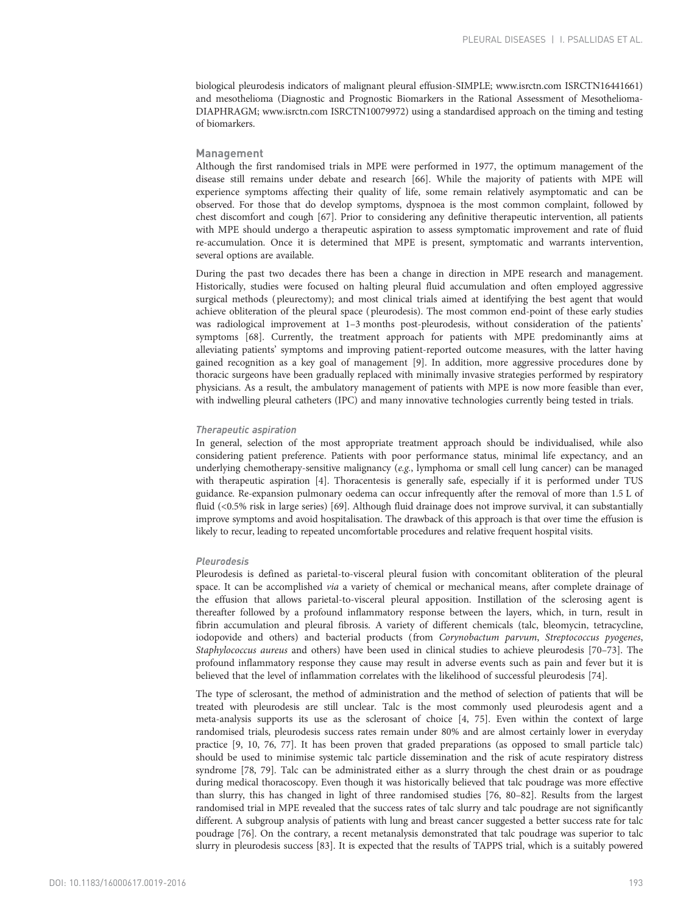biological pleurodesis indicators of malignant pleural effusion-SIMPLE; [www.isrctn.com](http://www.isrctn.com) ISRCTN16441661) and mesothelioma (Diagnostic and Prognostic Biomarkers in the Rational Assessment of Mesothelioma-DIAPHRAGM; [www.isrctn.com](http://www.isrctn.com) ISRCTN10079972) using a standardised approach on the timing and testing of biomarkers.

#### Management

Although the first randomised trials in MPE were performed in 1977, the optimum management of the disease still remains under debate and research [[66](#page-8-0)]. While the majority of patients with MPE will experience symptoms affecting their quality of life, some remain relatively asymptomatic and can be observed. For those that do develop symptoms, dyspnoea is the most common complaint, followed by chest discomfort and cough [[67](#page-8-0)]. Prior to considering any definitive therapeutic intervention, all patients with MPE should undergo a therapeutic aspiration to assess symptomatic improvement and rate of fluid re-accumulation. Once it is determined that MPE is present, symptomatic and warrants intervention, several options are available.

During the past two decades there has been a change in direction in MPE research and management. Historically, studies were focused on halting pleural fluid accumulation and often employed aggressive surgical methods ( pleurectomy); and most clinical trials aimed at identifying the best agent that would achieve obliteration of the pleural space ( pleurodesis). The most common end-point of these early studies was radiological improvement at 1–3 months post-pleurodesis, without consideration of the patients' symptoms [\[68\]](#page-8-0). Currently, the treatment approach for patients with MPE predominantly aims at alleviating patients' symptoms and improving patient-reported outcome measures, with the latter having gained recognition as a key goal of management [\[9\]](#page-6-0). In addition, more aggressive procedures done by thoracic surgeons have been gradually replaced with minimally invasive strategies performed by respiratory physicians. As a result, the ambulatory management of patients with MPE is now more feasible than ever, with indwelling pleural catheters (IPC) and many innovative technologies currently being tested in trials.

## Therapeutic aspiration

In general, selection of the most appropriate treatment approach should be individualised, while also considering patient preference. Patients with poor performance status, minimal life expectancy, and an underlying chemotherapy-sensitive malignancy  $(e.g.,]$  lymphoma or small cell lung cancer) can be managed with therapeutic aspiration [[4\]](#page-6-0). Thoracentesis is generally safe, especially if it is performed under TUS guidance. Re-expansion pulmonary oedema can occur infrequently after the removal of more than 1.5 L of fluid (<0.5% risk in large series) [\[69\]](#page-8-0). Although fluid drainage does not improve survival, it can substantially improve symptoms and avoid hospitalisation. The drawback of this approach is that over time the effusion is likely to recur, leading to repeated uncomfortable procedures and relative frequent hospital visits.

## Pleurodesis

Pleurodesis is defined as parietal-to-visceral pleural fusion with concomitant obliteration of the pleural space. It can be accomplished via a variety of chemical or mechanical means, after complete drainage of the effusion that allows parietal-to-visceral pleural apposition. Instillation of the sclerosing agent is thereafter followed by a profound inflammatory response between the layers, which, in turn, result in fibrin accumulation and pleural fibrosis. A variety of different chemicals (talc, bleomycin, tetracycline, iodopovide and others) and bacterial products (from Corynobactum parvum, Streptococcus pyogenes, Staphylococcus aureus and others) have been used in clinical studies to achieve pleurodesis [[70](#page-8-0)–[73\]](#page-8-0). The profound inflammatory response they cause may result in adverse events such as pain and fever but it is believed that the level of inflammation correlates with the likelihood of successful pleurodesis [[74](#page-8-0)].

The type of sclerosant, the method of administration and the method of selection of patients that will be treated with pleurodesis are still unclear. Talc is the most commonly used pleurodesis agent and a meta-analysis supports its use as the sclerosant of choice [[4](#page-6-0), [75\]](#page-8-0). Even within the context of large randomised trials, pleurodesis success rates remain under 80% and are almost certainly lower in everyday practice [[9, 10](#page-6-0), [76, 77](#page-8-0)]. It has been proven that graded preparations (as opposed to small particle talc) should be used to minimise systemic talc particle dissemination and the risk of acute respiratory distress syndrome [\[78, 79](#page-8-0)]. Talc can be administrated either as a slurry through the chest drain or as poudrage during medical thoracoscopy. Even though it was historically believed that talc poudrage was more effective than slurry, this has changed in light of three randomised studies [[76](#page-8-0), [80](#page-8-0)–[82\]](#page-8-0). Results from the largest randomised trial in MPE revealed that the success rates of talc slurry and talc poudrage are not significantly different. A subgroup analysis of patients with lung and breast cancer suggested a better success rate for talc poudrage [\[76](#page-8-0)]. On the contrary, a recent metanalysis demonstrated that talc poudrage was superior to talc slurry in pleurodesis success [[83](#page-8-0)]. It is expected that the results of TAPPS trial, which is a suitably powered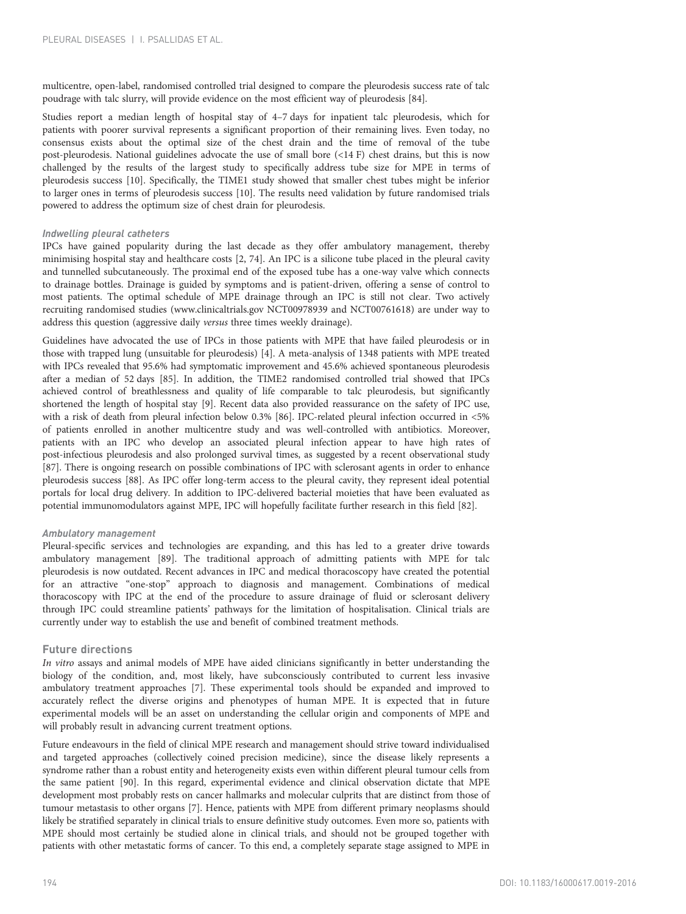multicentre, open-label, randomised controlled trial designed to compare the pleurodesis success rate of talc poudrage with talc slurry, will provide evidence on the most efficient way of pleurodesis [[84](#page-8-0)].

Studies report a median length of hospital stay of 4–7 days for inpatient talc pleurodesis, which for patients with poorer survival represents a significant proportion of their remaining lives. Even today, no consensus exists about the optimal size of the chest drain and the time of removal of the tube post-pleurodesis. National guidelines advocate the use of small bore (<14 F) chest drains, but this is now challenged by the results of the largest study to specifically address tube size for MPE in terms of pleurodesis success [[10](#page-6-0)]. Specifically, the TIME1 study showed that smaller chest tubes might be inferior to larger ones in terms of pleurodesis success [\[10\]](#page-6-0). The results need validation by future randomised trials powered to address the optimum size of chest drain for pleurodesis.

## Indwelling pleural catheters

IPCs have gained popularity during the last decade as they offer ambulatory management, thereby minimising hospital stay and healthcare costs [\[2,](#page-6-0) [74](#page-8-0)]. An IPC is a silicone tube placed in the pleural cavity and tunnelled subcutaneously. The proximal end of the exposed tube has a one-way valve which connects to drainage bottles. Drainage is guided by symptoms and is patient-driven, offering a sense of control to most patients. The optimal schedule of MPE drainage through an IPC is still not clear. Two actively recruiting randomised studies [\(www.clinicaltrials.gov](http://www.clinicaltrials.gov) NCT00978939 and NCT00761618) are under way to address this question (aggressive daily versus three times weekly drainage).

Guidelines have advocated the use of IPCs in those patients with MPE that have failed pleurodesis or in those with trapped lung (unsuitable for pleurodesis) [[4\]](#page-6-0). A meta-analysis of 1348 patients with MPE treated with IPCs revealed that 95.6% had symptomatic improvement and 45.6% achieved spontaneous pleurodesis after a median of 52 days [[85](#page-9-0)]. In addition, the TIME2 randomised controlled trial showed that IPCs achieved control of breathlessness and quality of life comparable to talc pleurodesis, but significantly shortened the length of hospital stay [\[9](#page-6-0)]. Recent data also provided reassurance on the safety of IPC use, with a risk of death from pleural infection below 0.3% [\[86\]](#page-9-0). IPC-related pleural infection occurred in <5% of patients enrolled in another multicentre study and was well-controlled with antibiotics. Moreover, patients with an IPC who develop an associated pleural infection appear to have high rates of post-infectious pleurodesis and also prolonged survival times, as suggested by a recent observational study [[87](#page-9-0)]. There is ongoing research on possible combinations of IPC with sclerosant agents in order to enhance pleurodesis success [[88](#page-9-0)]. As IPC offer long-term access to the pleural cavity, they represent ideal potential portals for local drug delivery. In addition to IPC-delivered bacterial moieties that have been evaluated as potential immunomodulators against MPE, IPC will hopefully facilitate further research in this field [[82](#page-8-0)].

# Ambulatory management

Pleural-specific services and technologies are expanding, and this has led to a greater drive towards ambulatory management [[89\]](#page-9-0). The traditional approach of admitting patients with MPE for talc pleurodesis is now outdated. Recent advances in IPC and medical thoracoscopy have created the potential for an attractive "one-stop" approach to diagnosis and management. Combinations of medical thoracoscopy with IPC at the end of the procedure to assure drainage of fluid or sclerosant delivery through IPC could streamline patients' pathways for the limitation of hospitalisation. Clinical trials are currently under way to establish the use and benefit of combined treatment methods.

# Future directions

In vitro assays and animal models of MPE have aided clinicians significantly in better understanding the biology of the condition, and, most likely, have subconsciously contributed to current less invasive ambulatory treatment approaches [\[7](#page-6-0)]. These experimental tools should be expanded and improved to accurately reflect the diverse origins and phenotypes of human MPE. It is expected that in future experimental models will be an asset on understanding the cellular origin and components of MPE and will probably result in advancing current treatment options.

Future endeavours in the field of clinical MPE research and management should strive toward individualised and targeted approaches (collectively coined precision medicine), since the disease likely represents a syndrome rather than a robust entity and heterogeneity exists even within different pleural tumour cells from the same patient [\[90\]](#page-9-0). In this regard, experimental evidence and clinical observation dictate that MPE development most probably rests on cancer hallmarks and molecular culprits that are distinct from those of tumour metastasis to other organs [\[7\]](#page-6-0). Hence, patients with MPE from different primary neoplasms should likely be stratified separately in clinical trials to ensure definitive study outcomes. Even more so, patients with MPE should most certainly be studied alone in clinical trials, and should not be grouped together with patients with other metastatic forms of cancer. To this end, a completely separate stage assigned to MPE in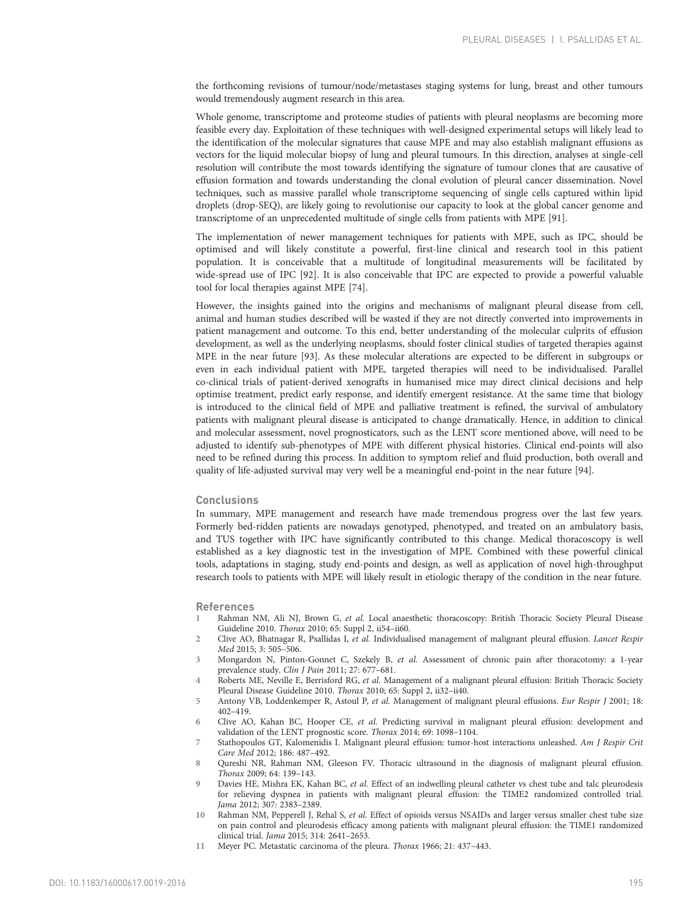<span id="page-6-0"></span>the forthcoming revisions of tumour/node/metastases staging systems for lung, breast and other tumours would tremendously augment research in this area.

Whole genome, transcriptome and proteome studies of patients with pleural neoplasms are becoming more feasible every day. Exploitation of these techniques with well-designed experimental setups will likely lead to the identification of the molecular signatures that cause MPE and may also establish malignant effusions as vectors for the liquid molecular biopsy of lung and pleural tumours. In this direction, analyses at single-cell resolution will contribute the most towards identifying the signature of tumour clones that are causative of effusion formation and towards understanding the clonal evolution of pleural cancer dissemination. Novel techniques, such as massive parallel whole transcriptome sequencing of single cells captured within lipid droplets (drop-SEQ), are likely going to revolutionise our capacity to look at the global cancer genome and transcriptome of an unprecedented multitude of single cells from patients with MPE [\[91\]](#page-9-0).

The implementation of newer management techniques for patients with MPE, such as IPC, should be optimised and will likely constitute a powerful, first-line clinical and research tool in this patient population. It is conceivable that a multitude of longitudinal measurements will be facilitated by wide-spread use of IPC [\[92](#page-9-0)]. It is also conceivable that IPC are expected to provide a powerful valuable tool for local therapies against MPE [[74](#page-8-0)].

However, the insights gained into the origins and mechanisms of malignant pleural disease from cell, animal and human studies described will be wasted if they are not directly converted into improvements in patient management and outcome. To this end, better understanding of the molecular culprits of effusion development, as well as the underlying neoplasms, should foster clinical studies of targeted therapies against MPE in the near future [\[93\]](#page-9-0). As these molecular alterations are expected to be different in subgroups or even in each individual patient with MPE, targeted therapies will need to be individualised. Parallel co-clinical trials of patient-derived xenografts in humanised mice may direct clinical decisions and help optimise treatment, predict early response, and identify emergent resistance. At the same time that biology is introduced to the clinical field of MPE and palliative treatment is refined, the survival of ambulatory patients with malignant pleural disease is anticipated to change dramatically. Hence, in addition to clinical and molecular assessment, novel prognosticators, such as the LENT score mentioned above, will need to be adjusted to identify sub-phenotypes of MPE with different physical histories. Clinical end-points will also need to be refined during this process. In addition to symptom relief and fluid production, both overall and quality of life-adjusted survival may very well be a meaningful end-point in the near future [\[94\]](#page-9-0).

# **Conclusions**

In summary, MPE management and research have made tremendous progress over the last few years. Formerly bed-ridden patients are nowadays genotyped, phenotyped, and treated on an ambulatory basis, and TUS together with IPC have significantly contributed to this change. Medical thoracoscopy is well established as a key diagnostic test in the investigation of MPE. Combined with these powerful clinical tools, adaptations in staging, study end-points and design, as well as application of novel high-throughput research tools to patients with MPE will likely result in etiologic therapy of the condition in the near future.

#### References

- Rahman NM, Ali NJ, Brown G, et al. Local anaesthetic thoracoscopy: British Thoracic Society Pleural Disease Guideline 2010. Thorax 2010; 65: Suppl 2, ii54–ii60.
- 2 Clive AO, Bhatnagar R, Psallidas I, et al. Individualised management of malignant pleural effusion. Lancet Respir Med 2015; 3: 505–506.
- 3 Mongardon N, Pinton-Gonnet C, Szekely B, et al. Assessment of chronic pain after thoracotomy: a 1-year prevalence study. Clin J Pain 2011; 27: 677–681.
- 4 Roberts ME, Neville E, Berrisford RG, et al. Management of a malignant pleural effusion: British Thoracic Society Pleural Disease Guideline 2010. Thorax 2010; 65: Suppl 2, ii32–ii40.
- 5 Antony VB, Loddenkemper R, Astoul P, et al. Management of malignant pleural effusions. Eur Respir J 2001; 18: 402–419.
- 6 Clive AO, Kahan BC, Hooper CE, et al. Predicting survival in malignant pleural effusion: development and validation of the LENT prognostic score. Thorax 2014; 69: 1098–1104.
- 7 Stathopoulos GT, Kalomenidis I. Malignant pleural effusion: tumor-host interactions unleashed. Am J Respir Crit Care Med 2012; 186: 487–492.
- 8 Qureshi NR, Rahman NM, Gleeson FV. Thoracic ultrasound in the diagnosis of malignant pleural effusion. Thorax 2009; 64: 139–143.
- 9 Davies HE, Mishra EK, Kahan BC, et al. Effect of an indwelling pleural catheter vs chest tube and talc pleurodesis for relieving dyspnea in patients with malignant pleural effusion: the TIME2 randomized controlled trial. Jama 2012; 307: 2383–2389.
- 10 Rahman NM, Pepperell J, Rehal S, et al. Effect of opioids versus NSAIDs and larger versus smaller chest tube size on pain control and pleurodesis efficacy among patients with malignant pleural effusion: the TIME1 randomized clinical trial. Jama 2015; 314: 2641–2653.
- 11 Meyer PC. Metastatic carcinoma of the pleura. Thorax 1966; 21: 437–443.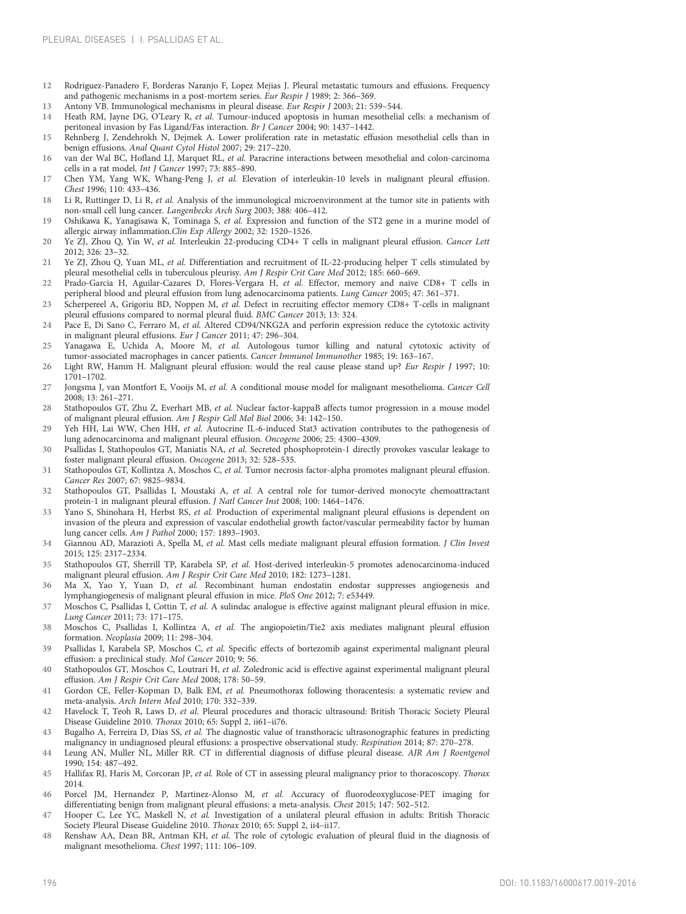- <span id="page-7-0"></span>12 Rodriguez-Panadero F, Borderas Naranjo F, Lopez Mejias J. Pleural metastatic tumours and effusions. Frequency and pathogenic mechanisms in a post-mortem series. Eur Respir J 1989; 2: 366–369.
- 13 Antony VB. Immunological mechanisms in pleural disease. Eur Respir J 2003; 21: 539–544.
- 14 Heath RM, Jayne DG, O'Leary R, et al. Tumour-induced apoptosis in human mesothelial cells: a mechanism of peritoneal invasion by Fas Ligand/Fas interaction. Br J Cancer 2004; 90: 1437–1442.
- 15 Rehnberg J, Zendehrokh N, Dejmek A. Lower proliferation rate in metastatic effusion mesothelial cells than in benign effusions. Anal Quant Cytol Histol 2007; 29: 217–220.
- 16 van der Wal BC, Hofland LJ, Marquet RL, et al. Paracrine interactions between mesothelial and colon-carcinoma cells in a rat model. Int J Cancer 1997; 73: 885–890.
- 17 Chen YM, Yang WK, Whang-Peng J, et al. Elevation of interleukin-10 levels in malignant pleural effusion. Chest 1996; 110: 433–436.
- 18 Li R, Ruttinger D, Li R, et al. Analysis of the immunological microenvironment at the tumor site in patients with non-small cell lung cancer. Langenbecks Arch Surg 2003; 388: 406–412.
- 19 Oshikawa K, Yanagisawa K, Tominaga S, et al. Expression and function of the ST2 gene in a murine model of allergic airway inflammation.Clin Exp Allergy 2002; 32: 1520–1526.
- 20 Ye ZJ, Zhou Q, Yin W, et al. Interleukin 22-producing CD4+ T cells in malignant pleural effusion. Cancer Lett 2012; 326: 23–32.
- 21 Ye ZJ, Zhou Q, Yuan ML, et al. Differentiation and recruitment of IL-22-producing helper T cells stimulated by pleural mesothelial cells in tuberculous pleurisy. Am J Respir Crit Care Med 2012; 185: 660–669.
- 22 Prado-Garcia H, Aguilar-Cazares D, Flores-Vergara H, et al. Effector, memory and naive CD8+ T cells in peripheral blood and pleural effusion from lung adenocarcinoma patients. Lung Cancer 2005; 47: 361–371.
- 23 Scherpereel A, Grigoriu BD, Noppen M, et al. Defect in recruiting effector memory CD8+ T-cells in malignant pleural effusions compared to normal pleural fluid. BMC Cancer 2013; 13: 324.
- 24 Pace E, Di Sano C, Ferraro M, et al. Altered CD94/NKG2A and perforin expression reduce the cytotoxic activity in malignant pleural effusions. Eur J Cancer 2011; 47: 296–304.
- 25 Yanagawa E, Uchida A, Moore M, et al. Autologous tumor killing and natural cytotoxic activity of tumor-associated macrophages in cancer patients. Cancer Immunol Immunother 1985; 19: 163–167.
- 26 Light RW, Hamm H. Malignant pleural effusion: would the real cause please stand up? Eur Respir J 1997; 10: 1701–1702.
- 27 Jongsma J, van Montfort E, Vooijs M, et al. A conditional mouse model for malignant mesothelioma. Cancer Cell 2008; 13: 261–271.
- 28 Stathopoulos GT, Zhu Z, Everhart MB, et al. Nuclear factor-kappaB affects tumor progression in a mouse model of malignant pleural effusion. Am J Respir Cell Mol Biol 2006; 34: 142–150.
- 29 Yeh HH, Lai WW, Chen HH, et al. Autocrine IL-6-induced Stat3 activation contributes to the pathogenesis of lung adenocarcinoma and malignant pleural effusion. Oncogene 2006; 25: 4300–4309.
- 30 Psallidas I, Stathopoulos GT, Maniatis NA, et al. Secreted phosphoprotein-1 directly provokes vascular leakage to foster malignant pleural effusion. Oncogene 2013; 32: 528–535.
- 31 Stathopoulos GT, Kollintza A, Moschos C, et al. Tumor necrosis factor-alpha promotes malignant pleural effusion. Cancer Res 2007; 67: 9825–9834.
- 32 Stathopoulos GT, Psallidas I, Moustaki A, et al. A central role for tumor-derived monocyte chemoattractant protein-1 in malignant pleural effusion. J Natl Cancer Inst 2008; 100: 1464–1476.
- 33 Yano S, Shinohara H, Herbst RS, et al. Production of experimental malignant pleural effusions is dependent on invasion of the pleura and expression of vascular endothelial growth factor/vascular permeability factor by human lung cancer cells. Am J Pathol 2000; 157: 1893–1903.
- 34 Giannou AD, Marazioti A, Spella M, et al. Mast cells mediate malignant pleural effusion formation. J Clin Invest 2015; 125: 2317–2334.
- 35 Stathopoulos GT, Sherrill TP, Karabela SP, et al. Host-derived interleukin-5 promotes adenocarcinoma-induced malignant pleural effusion. Am J Respir Crit Care Med 2010; 182: 1273–1281.
- 36 Ma X, Yao Y, Yuan D, et al. Recombinant human endostatin endostar suppresses angiogenesis and lymphangiogenesis of malignant pleural effusion in mice. PloS One 2012; 7: e53449.
- 37 Moschos C, Psallidas I, Cottin T, et al. A sulindac analogue is effective against malignant pleural effusion in mice. Lung Cancer 2011; 73: 171–175.
- 38 Moschos C, Psallidas I, Kollintza A, et al. The angiopoietin/Tie2 axis mediates malignant pleural effusion formation. Neoplasia 2009; 11: 298–304.
- 39 Psallidas I, Karabela SP, Moschos C, et al. Specific effects of bortezomib against experimental malignant pleural effusion: a preclinical study. Mol Cancer 2010; 9: 56.
- 40 Stathopoulos GT, Moschos C, Loutrari H, et al. Zoledronic acid is effective against experimental malignant pleural effusion. Am J Respir Crit Care Med 2008; 178: 50–59.
- 41 Gordon CE, Feller-Kopman D, Balk EM, et al. Pneumothorax following thoracentesis: a systematic review and meta-analysis. Arch Intern Med 2010; 170: 332–339.
- 42 Havelock T, Teoh R, Laws D, et al. Pleural procedures and thoracic ultrasound: British Thoracic Society Pleural Disease Guideline 2010. Thorax 2010; 65: Suppl 2, ii61–ii76.
- 43 Bugalho A, Ferreira D, Dias SS, et al. The diagnostic value of transthoracic ultrasonographic features in predicting malignancy in undiagnosed pleural effusions: a prospective observational study. Respiration 2014; 87: 270–278.
- 44 Leung AN, Muller NL, Miller RR. CT in differential diagnosis of diffuse pleural disease. AJR Am J Roentgenol 1990; 154: 487–492.
- 45 Hallifax RJ, Haris M, Corcoran JP, et al. Role of CT in assessing pleural malignancy prior to thoracoscopy. Thorax 2014.
- 46 Porcel JM, Hernandez P, Martinez-Alonso M, et al. Accuracy of fluorodeoxyglucose-PET imaging for differentiating benign from malignant pleural effusions: a meta-analysis. Chest 2015; 147: 502–512.
- 47 Hooper C, Lee YC, Maskell N, et al. Investigation of a unilateral pleural effusion in adults: British Thoracic Society Pleural Disease Guideline 2010. Thorax 2010; 65: Suppl 2, ii4–ii17.
- 48 Renshaw AA, Dean BR, Antman KH, et al. The role of cytologic evaluation of pleural fluid in the diagnosis of malignant mesothelioma. Chest 1997; 111: 106–109.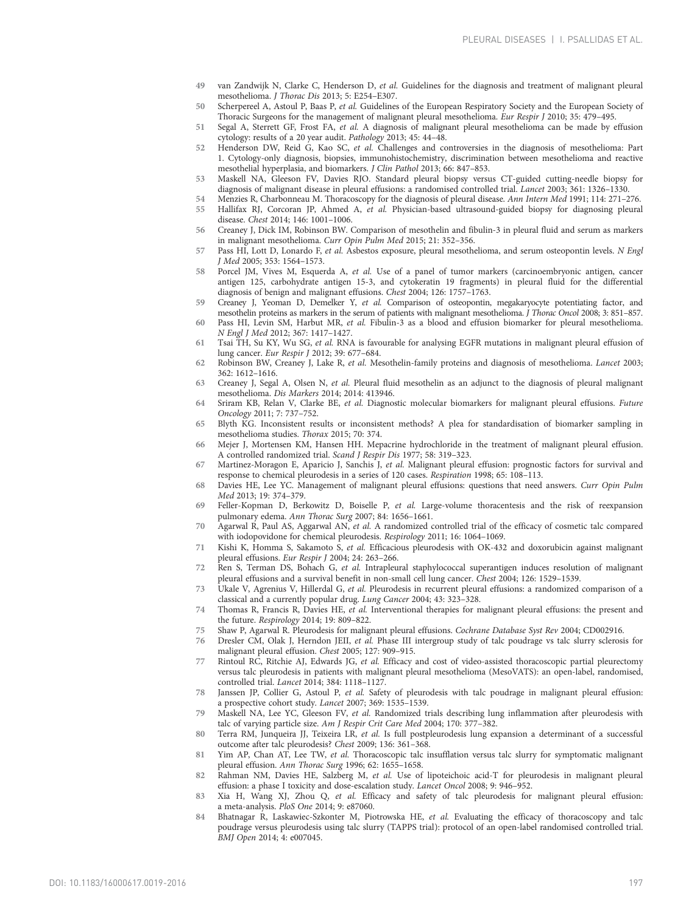- <span id="page-8-0"></span>49 van Zandwijk N, Clarke C, Henderson D, et al. Guidelines for the diagnosis and treatment of malignant pleural mesothelioma. J Thorac Dis 2013; 5: E254–E307.
- 50 Scherpereel A, Astoul P, Baas P, et al. Guidelines of the European Respiratory Society and the European Society of Thoracic Surgeons for the management of malignant pleural mesothelioma. Eur Respir J 2010; 35: 479–495.
- 51 Segal A, Sterrett GF, Frost FA, et al. A diagnosis of malignant pleural mesothelioma can be made by effusion cytology: results of a 20 year audit. Pathology 2013; 45: 44–48.
- 52 Henderson DW, Reid G, Kao SC, et al. Challenges and controversies in the diagnosis of mesothelioma: Part 1. Cytology-only diagnosis, biopsies, immunohistochemistry, discrimination between mesothelioma and reactive mesothelial hyperplasia, and biomarkers. J Clin Pathol 2013; 66: 847–853.
- 53 Maskell NA, Gleeson FV, Davies RJO. Standard pleural biopsy versus CT-guided cutting-needle biopsy for diagnosis of malignant disease in pleural effusions: a randomised controlled trial. Lancet 2003; 361: 1326–1330.
- 54 Menzies R, Charbonneau M. Thoracoscopy for the diagnosis of pleural disease. Ann Intern Med 1991; 114: 271–276. 55 Hallifax RJ, Corcoran JP, Ahmed A, et al. Physician-based ultrasound-guided biopsy for diagnosing pleural disease. Chest 2014; 146: 1001–1006.
- 56 Creaney J, Dick IM, Robinson BW. Comparison of mesothelin and fibulin-3 in pleural fluid and serum as markers in malignant mesothelioma. Curr Opin Pulm Med 2015; 21: 352–356.
- 57 Pass HI, Lott D, Lonardo F, et al. Asbestos exposure, pleural mesothelioma, and serum osteopontin levels. N Engl J Med 2005; 353: 1564–1573.
- 58 Porcel JM, Vives M, Esquerda A, et al. Use of a panel of tumor markers (carcinoembryonic antigen, cancer antigen 125, carbohydrate antigen 15-3, and cytokeratin 19 fragments) in pleural fluid for the differential diagnosis of benign and malignant effusions. Chest 2004; 126: 1757–1763.
- 59 Creaney J, Yeoman D, Demelker Y, et al. Comparison of osteopontin, megakaryocyte potentiating factor, and mesothelin proteins as markers in the serum of patients with malignant mesothelioma. J Thorac Oncol 2008; 3: 851–857.
- 60 Pass HI, Levin SM, Harbut MR, et al. Fibulin-3 as a blood and effusion biomarker for pleural mesothelioma. N Engl J Med 2012; 367: 1417–1427.
- 61 Tsai TH, Su KY, Wu SG, et al. RNA is favourable for analysing EGFR mutations in malignant pleural effusion of lung cancer. Eur Respir J 2012; 39: 677–684.
- 62 Robinson BW, Creaney J, Lake R, et al. Mesothelin-family proteins and diagnosis of mesothelioma. Lancet 2003; 362: 1612–1616.
- 63 Creaney J, Segal A, Olsen N, et al. Pleural fluid mesothelin as an adjunct to the diagnosis of pleural malignant mesothelioma. Dis Markers 2014; 2014: 413946.
- 64 Sriram KB, Relan V, Clarke BE, et al. Diagnostic molecular biomarkers for malignant pleural effusions. Future Oncology 2011; 7: 737–752.
- 65 Blyth KG. Inconsistent results or inconsistent methods? A plea for standardisation of biomarker sampling in mesothelioma studies. Thorax 2015; 70: 374.
- 66 Mejer J, Mortensen KM, Hansen HH. Mepacrine hydrochloride in the treatment of malignant pleural effusion. A controlled randomized trial. Scand J Respir Dis 1977; 58: 319–323.
- 67 Martinez-Moragon E, Aparicio J, Sanchis J, et al. Malignant pleural effusion: prognostic factors for survival and response to chemical pleurodesis in a series of 120 cases. Respiration 1998; 65: 108–113.
- 68 Davies HE, Lee YC. Management of malignant pleural effusions: questions that need answers. Curr Opin Pulm Med 2013; 19: 374–379.
- Feller-Kopman D, Berkowitz D, Boiselle P, et al. Large-volume thoracentesis and the risk of reexpansion pulmonary edema. Ann Thorac Surg 2007; 84: 1656–1661.
- 70 Agarwal R, Paul AS, Aggarwal AN, et al. A randomized controlled trial of the efficacy of cosmetic talc compared with iodopovidone for chemical pleurodesis. Respirology 2011; 16: 1064–1069.
- 71 Kishi K, Homma S, Sakamoto S, et al. Efficacious pleurodesis with OK-432 and doxorubicin against malignant pleural effusions. Eur Respir J 2004; 24: 263–266.
- 72 Ren S, Terman DS, Bohach G, et al. Intrapleural staphylococcal superantigen induces resolution of malignant pleural effusions and a survival benefit in non-small cell lung cancer. Chest 2004; 126: 1529–1539.
- 73 Ukale V, Agrenius V, Hillerdal G, et al. Pleurodesis in recurrent pleural effusions: a randomized comparison of a classical and a currently popular drug. Lung Cancer 2004; 43: 323–328.
- 74 Thomas R, Francis R, Davies HE, et al. Interventional therapies for malignant pleural effusions: the present and the future. Respirology 2014; 19: 809–822.
- 75 Shaw P, Agarwal R. Pleurodesis for malignant pleural effusions. Cochrane Database Syst Rev 2004; CD002916.
- 76 Dresler CM, Olak J, Herndon JEII, et al. Phase III intergroup study of talc poudrage vs talc slurry sclerosis for malignant pleural effusion. Chest 2005; 127: 909–915.
- 77 Rintoul RC, Ritchie AJ, Edwards JG, et al. Efficacy and cost of video-assisted thoracoscopic partial pleurectomy versus talc pleurodesis in patients with malignant pleural mesothelioma (MesoVATS): an open-label, randomised, controlled trial. Lancet 2014; 384: 1118–1127.
- 78 Janssen JP, Collier G, Astoul P, et al. Safety of pleurodesis with talc poudrage in malignant pleural effusion: a prospective cohort study. Lancet 2007; 369: 1535–1539.
- 79 Maskell NA, Lee YC, Gleeson FV, et al. Randomized trials describing lung inflammation after pleurodesis with talc of varying particle size. Am J Respir Crit Care Med 2004; 170: 377–382.
- 80 Terra RM, Junqueira JJ, Teixeira LR, et al. Is full postpleurodesis lung expansion a determinant of a successful outcome after talc pleurodesis? Chest 2009; 136: 361–368.
- 81 Yim AP, Chan AT, Lee TW, et al. Thoracoscopic talc insufflation versus talc slurry for symptomatic malignant pleural effusion. Ann Thorac Surg 1996; 62: 1655–1658.
- 82 Rahman NM, Davies HE, Salzberg M, et al. Use of lipoteichoic acid-T for pleurodesis in malignant pleural effusion: a phase I toxicity and dose-escalation study. Lancet Oncol 2008; 9: 946–952.
- 83 Xia H, Wang XJ, Zhou Q, et al. Efficacy and safety of talc pleurodesis for malignant pleural effusion: a meta-analysis. PloS One 2014; 9: e87060.
- 84 Bhatnagar R, Laskawiec-Szkonter M, Piotrowska HE, et al. Evaluating the efficacy of thoracoscopy and talc poudrage versus pleurodesis using talc slurry (TAPPS trial): protocol of an open-label randomised controlled trial. BMJ Open 2014; 4: e007045.